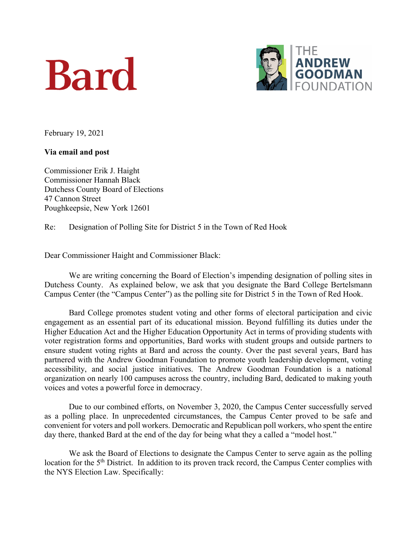



February 19, 2021

## **Via email and post**

Commissioner Erik J. Haight Commissioner Hannah Black Dutchess County Board of Elections 47 Cannon Street Poughkeepsie, New York 12601

Re: Designation of Polling Site for District 5 in the Town of Red Hook

Dear Commissioner Haight and Commissioner Black:

We are writing concerning the Board of Election's impending designation of polling sites in Dutchess County. As explained below, we ask that you designate the Bard College Bertelsmann Campus Center (the "Campus Center") as the polling site for District 5 in the Town of Red Hook.

Bard College promotes student voting and other forms of electoral participation and civic engagement as an essential part of its educational mission. Beyond fulfilling its duties under the Higher Education Act and the Higher Education Opportunity Act in terms of providing students with voter registration forms and opportunities, Bard works with student groups and outside partners to ensure student voting rights at Bard and across the county. Over the past several years, Bard has partnered with the Andrew Goodman Foundation to promote youth leadership development, voting accessibility, and social justice initiatives. The Andrew Goodman Foundation is a national organization on nearly 100 campuses across the country, including Bard, dedicated to making youth voices and votes a powerful force in democracy.

Due to our combined efforts, on November 3, 2020, the Campus Center successfully served as a polling place. In unprecedented circumstances, the Campus Center proved to be safe and convenient for voters and poll workers. Democratic and Republican poll workers, who spent the entire day there, thanked Bard at the end of the day for being what they a called a "model host."

We ask the Board of Elections to designate the Campus Center to serve again as the polling location for the 5<sup>th</sup> District. In addition to its proven track record, the Campus Center complies with the NYS Election Law. Specifically: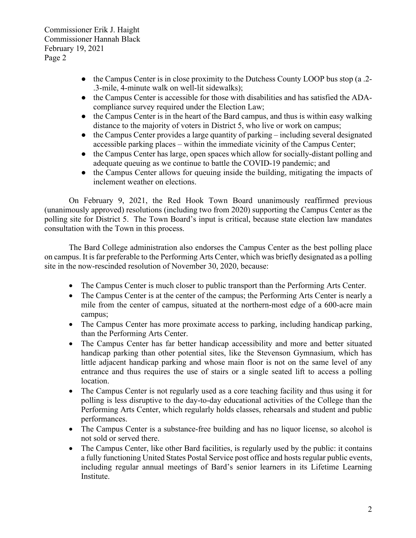- the Campus Center is in close proximity to the Dutchess County LOOP bus stop (a .2-.3-mile, 4-minute walk on well-lit sidewalks);
- the Campus Center is accessible for those with disabilities and has satisfied the ADAcompliance survey required under the Election Law;
- the Campus Center is in the heart of the Bard campus, and thus is within easy walking distance to the majority of voters in District 5, who live or work on campus;
- the Campus Center provides a large quantity of parking including several designated accessible parking places – within the immediate vicinity of the Campus Center;
- the Campus Center has large, open spaces which allow for socially-distant polling and adequate queuing as we continue to battle the COVID-19 pandemic; and
- the Campus Center allows for queuing inside the building, mitigating the impacts of inclement weather on elections.

On February 9, 2021, the Red Hook Town Board unanimously reaffirmed previous (unanimously approved) resolutions (including two from 2020) supporting the Campus Center as the polling site for District 5. The Town Board's input is critical, because state election law mandates consultation with the Town in this process.

The Bard College administration also endorses the Campus Center as the best polling place on campus. It is far preferable to the Performing Arts Center, which was briefly designated as a polling site in the now-rescinded resolution of November 30, 2020, because:

- The Campus Center is much closer to public transport than the Performing Arts Center.
- The Campus Center is at the center of the campus; the Performing Arts Center is nearly a mile from the center of campus, situated at the northern-most edge of a 600-acre main campus;
- The Campus Center has more proximate access to parking, including handicap parking, than the Performing Arts Center.
- The Campus Center has far better handicap accessibility and more and better situated handicap parking than other potential sites, like the Stevenson Gymnasium, which has little adjacent handicap parking and whose main floor is not on the same level of any entrance and thus requires the use of stairs or a single seated lift to access a polling location.
- The Campus Center is not regularly used as a core teaching facility and thus using it for polling is less disruptive to the day-to-day educational activities of the College than the Performing Arts Center, which regularly holds classes, rehearsals and student and public performances.
- The Campus Center is a substance-free building and has no liquor license, so alcohol is not sold or served there.
- The Campus Center, like other Bard facilities, is regularly used by the public: it contains a fully functioning United States Postal Service post office and hosts regular public events, including regular annual meetings of Bard's senior learners in its Lifetime Learning Institute.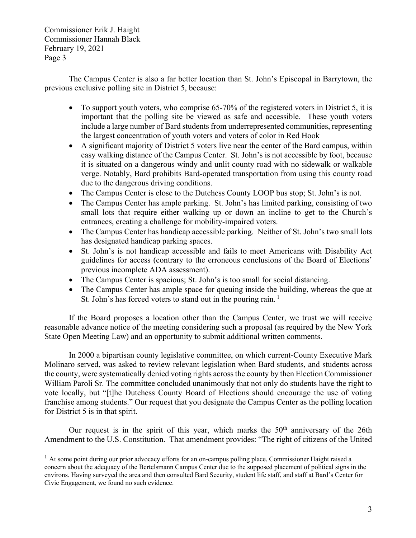The Campus Center is also a far better location than St. John's Episcopal in Barrytown, the previous exclusive polling site in District 5, because:

- To support youth voters, who comprise 65-70% of the registered voters in District 5, it is important that the polling site be viewed as safe and accessible. These youth voters include a large number of Bard students from underrepresented communities, representing the largest concentration of youth voters and voters of color in Red Hook
- A significant majority of District 5 voters live near the center of the Bard campus, within easy walking distance of the Campus Center. St. John's is not accessible by foot, because it is situated on a dangerous windy and unlit county road with no sidewalk or walkable verge. Notably, Bard prohibits Bard-operated transportation from using this county road due to the dangerous driving conditions.
- The Campus Center is close to the Dutchess County LOOP bus stop; St. John's is not.
- The Campus Center has ample parking. St. John's has limited parking, consisting of two small lots that require either walking up or down an incline to get to the Church's entrances, creating a challenge for mobility-impaired voters.
- The Campus Center has handicap accessible parking. Neither of St. John's two small lots has designated handicap parking spaces.
- St. John's is not handicap accessible and fails to meet Americans with Disability Act guidelines for access (contrary to the erroneous conclusions of the Board of Elections' previous incomplete ADA assessment).
- The Campus Center is spacious; St. John's is too small for social distancing.
- The Campus Center has ample space for queuing inside the building, whereas the que at St. John's has forced voters to stand out in the pouring rain.<sup>1</sup>

If the Board proposes a location other than the Campus Center, we trust we will receive reasonable advance notice of the meeting considering such a proposal (as required by the New York State Open Meeting Law) and an opportunity to submit additional written comments.

In 2000 a bipartisan county legislative committee, on which current-County Executive Mark Molinaro served, was asked to review relevant legislation when Bard students, and students across the county, were systematically denied voting rights across the county by then Election Commissioner William Paroli Sr. The committee concluded unanimously that not only do students have the right to vote locally, but "[t]he Dutchess County Board of Elections should encourage the use of voting franchise among students." Our request that you designate the Campus Center as the polling location for District 5 is in that spirit.

Our request is in the spirit of this year, which marks the  $50<sup>th</sup>$  anniversary of the 26th Amendment to the U.S. Constitution. That amendment provides: "The right of citizens of the United

 $<sup>1</sup>$  At some point during our prior advocacy efforts for an on-campus polling place, Commissioner Haight raised a</sup> concern about the adequacy of the Bertelsmann Campus Center due to the supposed placement of political signs in the environs. Having surveyed the area and then consulted Bard Security, student life staff, and staff at Bard's Center for Civic Engagement, we found no such evidence.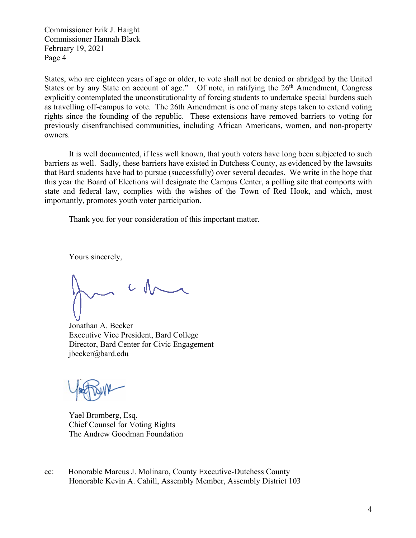States, who are eighteen years of age or older, to vote shall not be denied or abridged by the United States or by any State on account of age." Of note, in ratifying the 26<sup>th</sup> Amendment, Congress explicitly contemplated the unconstitutionality of forcing students to undertake special burdens such as travelling off-campus to vote. The 26th Amendment is one of many steps taken to extend voting rights since the founding of the republic. These extensions have removed barriers to voting for previously disenfranchised communities, including African Americans, women, and non-property owners.

It is well documented, if less well known, that youth voters have long been subjected to such barriers as well. Sadly, these barriers have existed in Dutchess County, as evidenced by the lawsuits that Bard students have had to pursue (successfully) over several decades. We write in the hope that this year the Board of Elections will designate the Campus Center, a polling site that comports with state and federal law, complies with the wishes of the Town of Red Hook, and which, most importantly, promotes youth voter participation.

Thank you for your consideration of this important matter.

Yours sincerely,

Jonathan A. Becker Executive Vice President, Bard College Director, Bard Center for Civic Engagement jbecker@bard.edu

Yael Bromberg, Esq. Chief Counsel for Voting Rights The Andrew Goodman Foundation

cc: Honorable Marcus J. Molinaro, County Executive-Dutchess County Honorable Kevin A. Cahill, Assembly Member, Assembly District 103